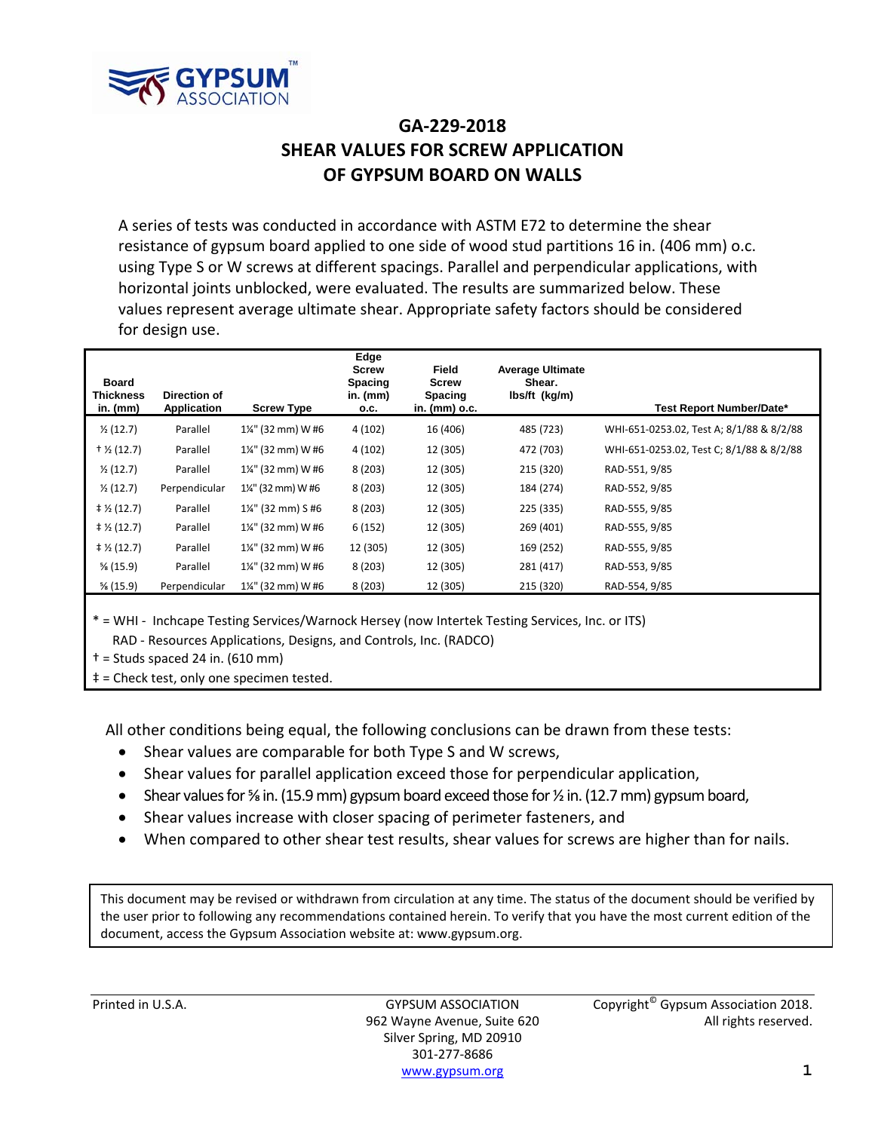

## **GA‐229‐2018 SHEAR VALUES FOR SCREW APPLICATION OF GYPSUM BOARD ON WALLS**

A series of tests was conducted in accordance with ASTM E72 to determine the shear resistance of gypsum board applied to one side of wood stud partitions 16 in. (406 mm) o.c. using Type S or W screws at different spacings. Parallel and perpendicular applications, with horizontal joints unblocked, were evaluated. The results are summarized below. These values represent average ultimate shear. Appropriate safety factors should be considered for design use.

| <b>Board</b><br><b>Thickness</b> | Direction of  |                   | Edge<br><b>Screw</b><br>Spacing<br>in. $(mm)$ | <b>Field</b><br><b>Screw</b><br>Spacing | <b>Average Ultimate</b><br>Shear.<br>lbs/ft (kg/m) |                                          |
|----------------------------------|---------------|-------------------|-----------------------------------------------|-----------------------------------------|----------------------------------------------------|------------------------------------------|
| in. (mm)                         | Application   | <b>Screw Type</b> | 0.C.                                          | in. (mm) o.c.                           |                                                    | Test Report Number/Date*                 |
| $\frac{1}{2}$ (12.7)             | Parallel      | 1¼" (32 mm) W #6  | 4(102)                                        | 16 (406)                                | 485 (723)                                          | WHI-651-0253.02, Test A; 8/1/88 & 8/2/88 |
| $+$ 1/ <sub>2</sub> (12.7)       | Parallel      | 1¼" (32 mm) W #6  | 4(102)                                        | 12 (305)                                | 472 (703)                                          | WHI-651-0253.02, Test C; 8/1/88 & 8/2/88 |
| $\frac{1}{2}$ (12.7)             | Parallel      | 1¼" (32 mm) W #6  | 8(203)                                        | 12 (305)                                | 215 (320)                                          | RAD-551, 9/85                            |
| $\frac{1}{2}$ (12.7)             | Perpendicular | 1¼" (32 mm) W #6  | 8(203)                                        | 12 (305)                                | 184 (274)                                          | RAD-552, 9/85                            |
| $\ddagger$ ½ (12.7)              | Parallel      | 1¼" (32 mm) S #6  | 8(203)                                        | 12 (305)                                | 225 (335)                                          | RAD-555, 9/85                            |
| $\ddagger$ ½ (12.7)              | Parallel      | 1¼" (32 mm) W #6  | 6(152)                                        | 12 (305)                                | 269 (401)                                          | RAD-555, 9/85                            |
| $\ddagger$ ½ (12.7)              | Parallel      | 1¼" (32 mm) W #6  | 12 (305)                                      | 12 (305)                                | 169 (252)                                          | RAD-555, 9/85                            |
| $\frac{5}{8}$ (15.9)             | Parallel      | 1¼" (32 mm) W #6  | 8(203)                                        | 12 (305)                                | 281 (417)                                          | RAD-553, 9/85                            |
| $\frac{5}{8}$ (15.9)             | Perpendicular | 1¼" (32 mm) W #6  | 8(203)                                        | 12 (305)                                | 215 (320)                                          | RAD-554, 9/85                            |
|                                  |               |                   |                                               |                                         |                                                    |                                          |

\* = WHI ‐ Inchcape Testing Services/Warnock Hersey (now Intertek Testing Services, Inc. or ITS) RAD ‐ Resources Applications, Designs, and Controls, Inc. (RADCO)

 $\dagger$  = Studs spaced 24 in. (610 mm)

‡ = Check test, only one specimen tested.

All other conditions being equal, the following conclusions can be drawn from these tests:

- Shear values are comparable for both Type S and W screws,
- Shear values for parallel application exceed those for perpendicular application,
- Shear values for  $\frac{5}{8}$  in. (15.9 mm) gypsum board exceed those for  $\frac{1}{2}$  in. (12.7 mm) gypsum board,
- Shear values increase with closer spacing of perimeter fasteners, and
- When compared to other shear test results, shear values for screws are higher than for nails.

This document may be revised or withdrawn from circulation at any time. The status of the document should be verified by the user prior to following any recommendations contained herein. To verify that you have the most current edition of the document, access the Gypsum Association website at: www.gypsum.org.

Silver Spring, MD 20910 301‐277‐8686 www.gypsum.org **1**